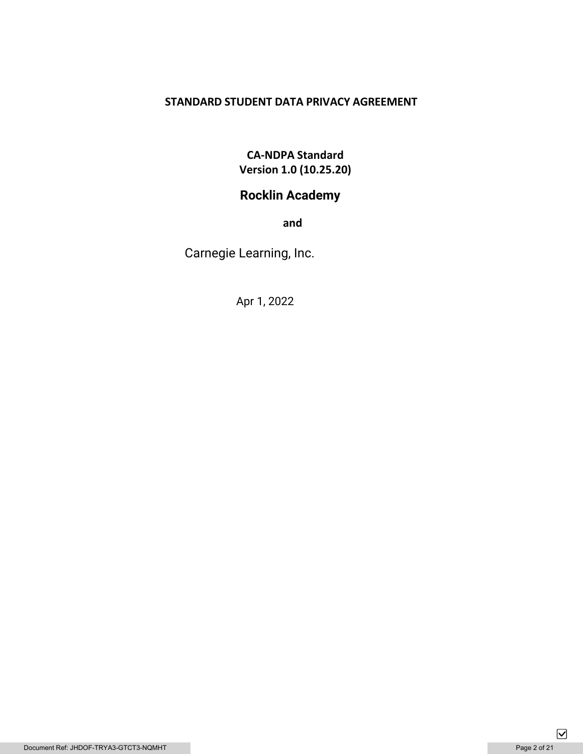### **STANDARD STUDENT DATA PRIVACY AGREEMENT**

# **CA-NDPA Standard Version 1.0 (10.25.20)**

# **Rocklin Academy**

**and** 

Carnegie Learning, Inc.

Apr 1, 2022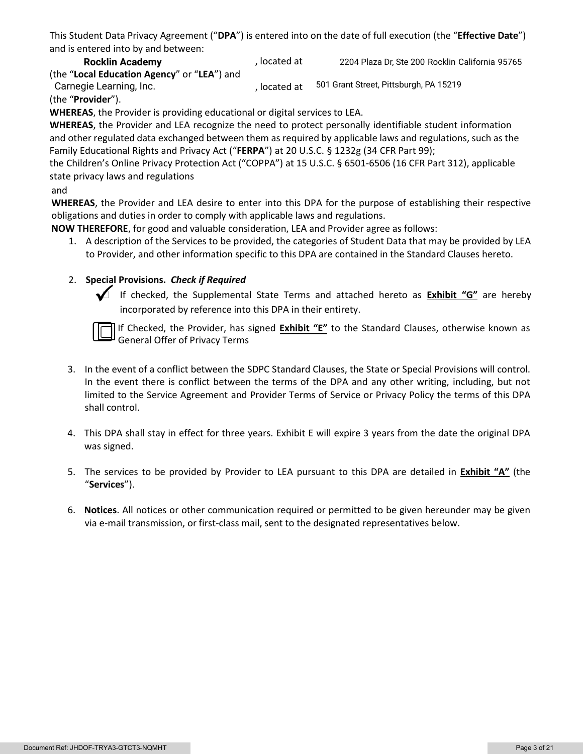This Student Data Privacy Agreement ("**DPA**") is entered into on the date of full execution (the "**Effective Date**") and is entered into by and between:

, located at (the "**Local Education Agency**" or "**LEA**") and **Rocklin Academy** 2204 Plaza Dr, Ste 200 Rocklin California 95765 Carnegie Learning, Inc. The Carnegie Learning, Inc. 501 Grant Street, Pittsburgh, PA 15219

, located at (the "**Provider**").

**WHEREAS**, the Provider is providing educational or digital services to LEA.

**WHEREAS**, the Provider and LEA recognize the need to protect personally identifiable student information and other regulated data exchanged between them as required by applicable laws and regulations, such as the Family Educational Rights and Privacy Act ("**FERPA**") at 20 U.S.C. § 1232g (34 CFR Part 99);

the Children's Online Privacy Protection Act ("COPPA") at 15 U.S.C. § 6501-6506 (16 CFR Part 312), applicable state privacy laws and regulations

### and

**WHEREAS**, the Provider and LEA desire to enter into this DPA for the purpose of establishing their respective obligations and duties in order to comply with applicable laws and regulations.

**NOW THEREFORE**, for good and valuable consideration, LEA and Provider agree as follows:

1. A description of the Services to be provided, the categories of Student Data that may be provided by LEA to Provider, and other information specific to this DPA are contained in the Standard Clauses hereto.

### 2. **Special Provisions.** *Check if Required*

 If checked, the Supplemental State Terms and attached hereto as **Exhibit "G"** are hereby incorporated by reference into this DPA in their entirety.

If Checked, the Provider, has signed **Exhibit "E"** to the Standard Clauses, otherwise known as General Offer of Privacy Terms

- 3. In the event of a conflict between the SDPC Standard Clauses, the State or Special Provisions will control. In the event there is conflict between the terms of the DPA and any other writing, including, but not limited to the Service Agreement and Provider Terms of Service or Privacy Policy the terms of this DPA shall control.
- 4. This DPA shall stay in effect for three years. Exhibit E will expire 3 years from the date the original DPA was signed.
- 5. The services to be provided by Provider to LEA pursuant to this DPA are detailed in **Exhibit "A"** (the "**Services**").
- 6. **Notices**. All notices or other communication required or permitted to be given hereunder may be given via e-mail transmission, or first-class mail, sent to the designated representatives below.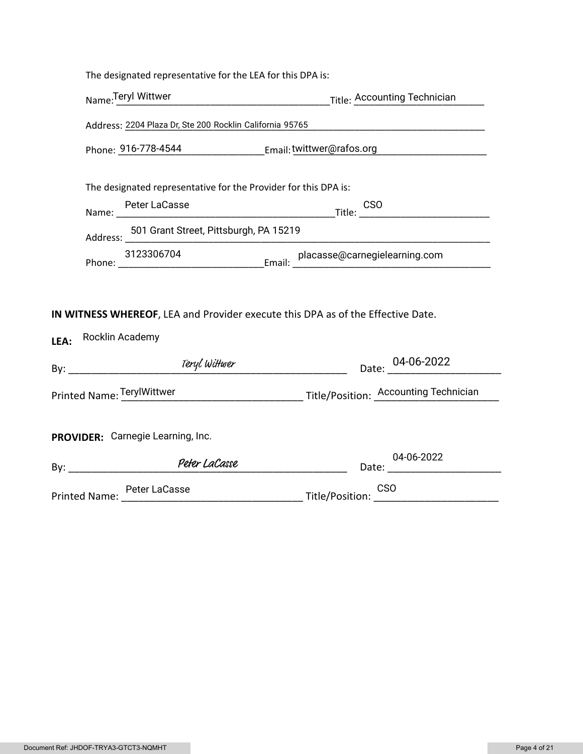| Title: Accounting Technician                                                                                                                                                                                                                                                                                                                        |
|-----------------------------------------------------------------------------------------------------------------------------------------------------------------------------------------------------------------------------------------------------------------------------------------------------------------------------------------------------|
| Address: 2204 Plaza Dr, Ste 200 Rocklin California 95765                                                                                                                                                                                                                                                                                            |
| Phone: 916-778-4544 [11] Email: twittwer@rafos.org                                                                                                                                                                                                                                                                                                  |
| The designated representative for the Provider for this DPA is:                                                                                                                                                                                                                                                                                     |
| $\begin{picture}(180,10) \put(0,0){\line(1,0){10}} \put(10,0){\line(1,0){10}} \put(10,0){\line(1,0){10}} \put(10,0){\line(1,0){10}} \put(10,0){\line(1,0){10}} \put(10,0){\line(1,0){10}} \put(10,0){\line(1,0){10}} \put(10,0){\line(1,0){10}} \put(10,0){\line(1,0){10}} \put(10,0){\line(1,0){10}} \put(10,0){\line(1,0){10}} \put(10,0){\line($ |
| 501 Grant Street, Pittsburgh, PA 15219                                                                                                                                                                                                                                                                                                              |
|                                                                                                                                                                                                                                                                                                                                                     |
| IN WITNESS WHEREOF, LEA and Provider execute this DPA as of the Effective Date.                                                                                                                                                                                                                                                                     |
|                                                                                                                                                                                                                                                                                                                                                     |
| Date: 04-06-2022                                                                                                                                                                                                                                                                                                                                    |
| Printed Name: TerylWittwer Manuel Aller Title/Position: Accounting Technician                                                                                                                                                                                                                                                                       |
| PROVIDER: Carnegie Learning, Inc.                                                                                                                                                                                                                                                                                                                   |
| 04-06-2022                                                                                                                                                                                                                                                                                                                                          |
|                                                                                                                                                                                                                                                                                                                                                     |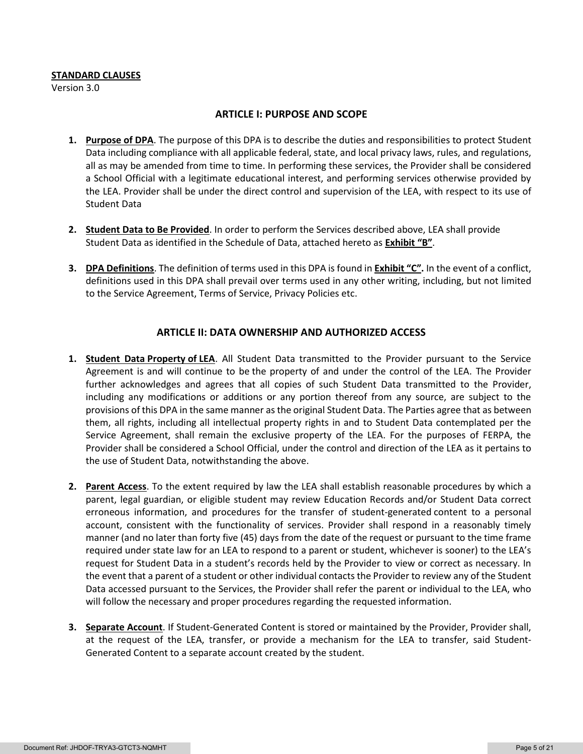#### **STANDARD CLAUSES**

Version 3.0

#### **ARTICLE I: PURPOSE AND SCOPE**

- **1. Purpose of DPA**. The purpose of this DPA is to describe the duties and responsibilities to protect Student Data including compliance with all applicable federal, state, and local privacy laws, rules, and regulations, all as may be amended from time to time. In performing these services, the Provider shall be considered a School Official with a legitimate educational interest, and performing services otherwise provided by the LEA. Provider shall be under the direct control and supervision of the LEA, with respect to its use of Student Data
- **2. Student Data to Be Provided**. In order to perform the Services described above, LEA shall provide Student Data as identified in the Schedule of Data, attached hereto as **Exhibit "B"**.
- **3. DPA Definitions**. The definition of terms used in this DPA is found in **Exhibit "C".** In the event of a conflict, definitions used in this DPA shall prevail over terms used in any other writing, including, but not limited to the Service Agreement, Terms of Service, Privacy Policies etc.

### **ARTICLE II: DATA OWNERSHIP AND AUTHORIZED ACCESS**

- **1. Student Data Property of LEA**. All Student Data transmitted to the Provider pursuant to the Service Agreement is and will continue to be the property of and under the control of the LEA. The Provider further acknowledges and agrees that all copies of such Student Data transmitted to the Provider, including any modifications or additions or any portion thereof from any source, are subject to the provisions of this DPA in the same manner as the original Student Data. The Parties agree that as between them, all rights, including all intellectual property rights in and to Student Data contemplated per the Service Agreement, shall remain the exclusive property of the LEA. For the purposes of FERPA, the Provider shall be considered a School Official, under the control and direction of the LEA as it pertains to the use of Student Data, notwithstanding the above.
- **2. Parent Access**. To the extent required by law the LEA shall establish reasonable procedures by which a parent, legal guardian, or eligible student may review Education Records and/or Student Data correct erroneous information, and procedures for the transfer of student-generated content to a personal account, consistent with the functionality of services. Provider shall respond in a reasonably timely manner (and no later than forty five (45) days from the date of the request or pursuant to the time frame required under state law for an LEA to respond to a parent or student, whichever is sooner) to the LEA's request for Student Data in a student's records held by the Provider to view or correct as necessary. In the event that a parent of a student or other individual contacts the Provider to review any of the Student Data accessed pursuant to the Services, the Provider shall refer the parent or individual to the LEA, who will follow the necessary and proper procedures regarding the requested information.
- **3. Separate Account**. If Student-Generated Content is stored or maintained by the Provider, Provider shall, at the request of the LEA, transfer, or provide a mechanism for the LEA to transfer, said Student-Generated Content to a separate account created by the student.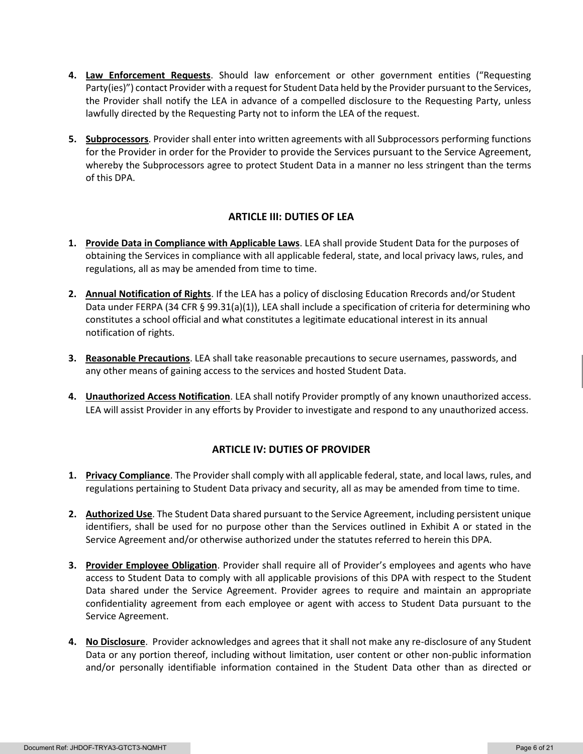- **4. Law Enforcement Requests**. Should law enforcement or other government entities ("Requesting Party(ies)") contact Provider with a request for Student Data held by the Provider pursuant to the Services, the Provider shall notify the LEA in advance of a compelled disclosure to the Requesting Party, unless lawfully directed by the Requesting Party not to inform the LEA of the request.
- **5. Subprocessors**. Provider shall enter into written agreements with all Subprocessors performing functions for the Provider in order for the Provider to provide the Services pursuant to the Service Agreement, whereby the Subprocessors agree to protect Student Data in a manner no less stringent than the terms of this DPA.

### **ARTICLE III: DUTIES OF LEA**

- **1. Provide Data in Compliance with Applicable Laws**. LEA shall provide Student Data for the purposes of obtaining the Services in compliance with all applicable federal, state, and local privacy laws, rules, and regulations, all as may be amended from time to time.
- **2. Annual Notification of Rights**. If the LEA has a policy of disclosing Education Rrecords and/or Student Data under FERPA (34 CFR § 99.31(a)(1)), LEA shall include a specification of criteria for determining who constitutes a school official and what constitutes a legitimate educational interest in its annual notification of rights.
- **3. Reasonable Precautions**. LEA shall take reasonable precautions to secure usernames, passwords, and any other means of gaining access to the services and hosted Student Data.
- **4. Unauthorized Access Notification**. LEA shall notify Provider promptly of any known unauthorized access. LEA will assist Provider in any efforts by Provider to investigate and respond to any unauthorized access.

### **ARTICLE IV: DUTIES OF PROVIDER**

- **1. Privacy Compliance**. The Provider shall comply with all applicable federal, state, and local laws, rules, and regulations pertaining to Student Data privacy and security, all as may be amended from time to time.
- **2. Authorized Use**. The Student Data shared pursuant to the Service Agreement, including persistent unique identifiers, shall be used for no purpose other than the Services outlined in Exhibit A or stated in the Service Agreement and/or otherwise authorized under the statutes referred to herein this DPA.
- **3. Provider Employee Obligation**. Provider shall require all of Provider's employees and agents who have access to Student Data to comply with all applicable provisions of this DPA with respect to the Student Data shared under the Service Agreement. Provider agrees to require and maintain an appropriate confidentiality agreement from each employee or agent with access to Student Data pursuant to the Service Agreement.
- **4. No Disclosure**. Provider acknowledges and agrees that it shall not make any re-disclosure of any Student Data or any portion thereof, including without limitation, user content or other non-public information and/or personally identifiable information contained in the Student Data other than as directed or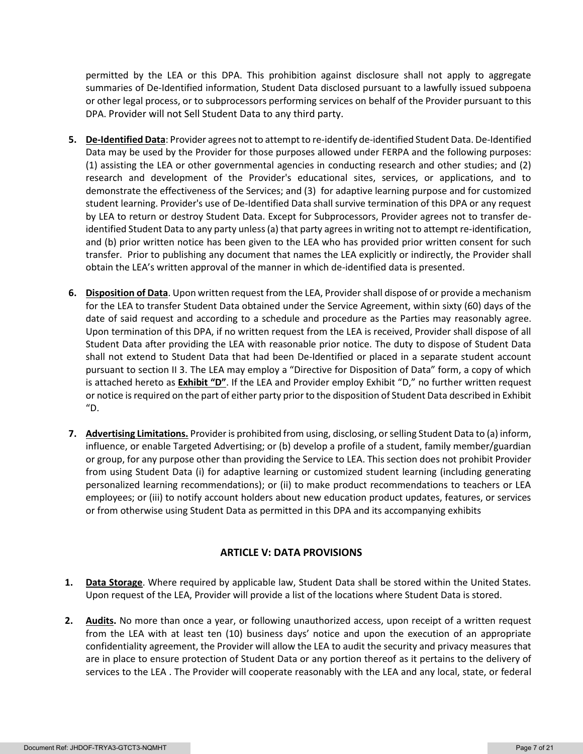permitted by the LEA or this DPA. This prohibition against disclosure shall not apply to aggregate summaries of De-Identified information, Student Data disclosed pursuant to a lawfully issued subpoena or other legal process, or to subprocessors performing services on behalf of the Provider pursuant to this DPA. Provider will not Sell Student Data to any third party.

- **5. De-Identified Data**: Provider agrees not to attempt to re-identify de-identified Student Data. De-Identified Data may be used by the Provider for those purposes allowed under FERPA and the following purposes: (1) assisting the LEA or other governmental agencies in conducting research and other studies; and (2) research and development of the Provider's educational sites, services, or applications, and to demonstrate the effectiveness of the Services; and (3) for adaptive learning purpose and for customized student learning. Provider's use of De-Identified Data shall survive termination of this DPA or any request by LEA to return or destroy Student Data. Except for Subprocessors, Provider agrees not to transfer deidentified Student Data to any party unless (a) that party agrees in writing not to attempt re-identification, and (b) prior written notice has been given to the LEA who has provided prior written consent for such transfer. Prior to publishing any document that names the LEA explicitly or indirectly, the Provider shall obtain the LEA's written approval of the manner in which de-identified data is presented.
- **6. Disposition of Data**. Upon written request from the LEA, Provider shall dispose of or provide a mechanism for the LEA to transfer Student Data obtained under the Service Agreement, within sixty (60) days of the date of said request and according to a schedule and procedure as the Parties may reasonably agree. Upon termination of this DPA, if no written request from the LEA is received, Provider shall dispose of all Student Data after providing the LEA with reasonable prior notice. The duty to dispose of Student Data shall not extend to Student Data that had been De-Identified or placed in a separate student account pursuant to section II 3. The LEA may employ a "Directive for Disposition of Data" form, a copy of which is attached hereto as **Exhibit "D"**. If the LEA and Provider employ Exhibit "D," no further written request or notice is required on the part of either party prior to the disposition of Student Data described in Exhibit "D.
- **7. Advertising Limitations.** Provider is prohibited from using, disclosing, or selling Student Data to (a) inform, influence, or enable Targeted Advertising; or (b) develop a profile of a student, family member/guardian or group, for any purpose other than providing the Service to LEA. This section does not prohibit Provider from using Student Data (i) for adaptive learning or customized student learning (including generating personalized learning recommendations); or (ii) to make product recommendations to teachers or LEA employees; or (iii) to notify account holders about new education product updates, features, or services or from otherwise using Student Data as permitted in this DPA and its accompanying exhibits

### **ARTICLE V: DATA PROVISIONS**

- **1. Data Storage**. Where required by applicable law, Student Data shall be stored within the United States. Upon request of the LEA, Provider will provide a list of the locations where Student Data is stored.
- **2. Audits.** No more than once a year, or following unauthorized access, upon receipt of a written request from the LEA with at least ten (10) business days' notice and upon the execution of an appropriate confidentiality agreement, the Provider will allow the LEA to audit the security and privacy measures that are in place to ensure protection of Student Data or any portion thereof as it pertains to the delivery of services to the LEA . The Provider will cooperate reasonably with the LEA and any local, state, or federal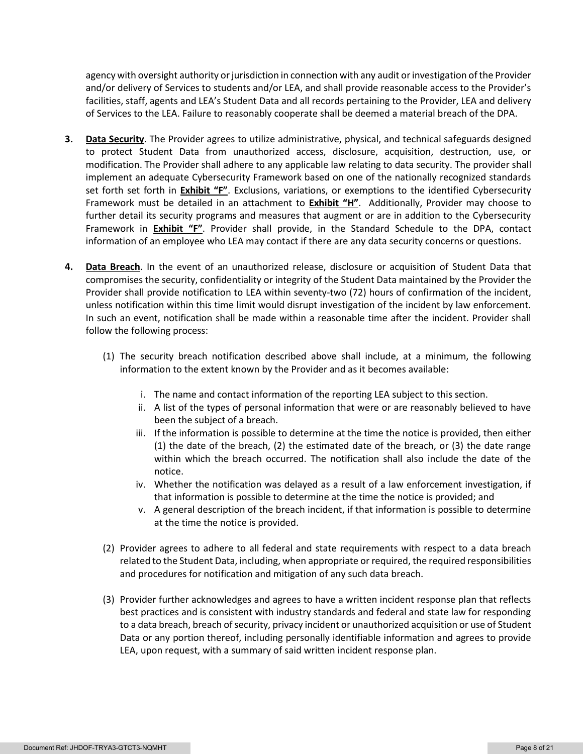agency with oversight authority or jurisdiction in connection with any audit or investigation of the Provider and/or delivery of Services to students and/or LEA, and shall provide reasonable access to the Provider's facilities, staff, agents and LEA's Student Data and all records pertaining to the Provider, LEA and delivery of Services to the LEA. Failure to reasonably cooperate shall be deemed a material breach of the DPA.

- **3. Data Security**. The Provider agrees to utilize administrative, physical, and technical safeguards designed to protect Student Data from unauthorized access, disclosure, acquisition, destruction, use, or modification. The Provider shall adhere to any applicable law relating to data security. The provider shall implement an adequate Cybersecurity Framework based on one of the nationally recognized standards set forth set forth in **Exhibit "F"**. Exclusions, variations, or exemptions to the identified Cybersecurity Framework must be detailed in an attachment to **Exhibit "H"**. Additionally, Provider may choose to further detail its security programs and measures that augment or are in addition to the Cybersecurity Framework in **Exhibit "F"**. Provider shall provide, in the Standard Schedule to the DPA, contact information of an employee who LEA may contact if there are any data security concerns or questions.
- **4. Data Breach**. In the event of an unauthorized release, disclosure or acquisition of Student Data that compromises the security, confidentiality or integrity of the Student Data maintained by the Provider the Provider shall provide notification to LEA within seventy-two (72) hours of confirmation of the incident, unless notification within this time limit would disrupt investigation of the incident by law enforcement. In such an event, notification shall be made within a reasonable time after the incident. Provider shall follow the following process:
	- (1) The security breach notification described above shall include, at a minimum, the following information to the extent known by the Provider and as it becomes available:
		- i. The name and contact information of the reporting LEA subject to this section.
		- ii. A list of the types of personal information that were or are reasonably believed to have been the subject of a breach.
		- iii. If the information is possible to determine at the time the notice is provided, then either (1) the date of the breach, (2) the estimated date of the breach, or (3) the date range within which the breach occurred. The notification shall also include the date of the notice.
		- iv. Whether the notification was delayed as a result of a law enforcement investigation, if that information is possible to determine at the time the notice is provided; and
		- v. A general description of the breach incident, if that information is possible to determine at the time the notice is provided.
	- (2) Provider agrees to adhere to all federal and state requirements with respect to a data breach related to the Student Data, including, when appropriate or required, the required responsibilities and procedures for notification and mitigation of any such data breach.
	- (3) Provider further acknowledges and agrees to have a written incident response plan that reflects best practices and is consistent with industry standards and federal and state law for responding to a data breach, breach of security, privacy incident or unauthorized acquisition or use of Student Data or any portion thereof, including personally identifiable information and agrees to provide LEA, upon request, with a summary of said written incident response plan.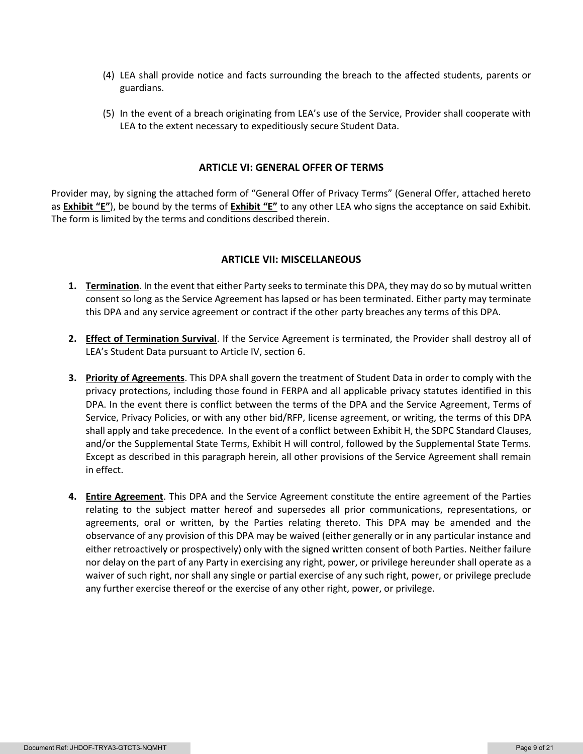- (4) LEA shall provide notice and facts surrounding the breach to the affected students, parents or guardians.
- (5) In the event of a breach originating from LEA's use of the Service, Provider shall cooperate with LEA to the extent necessary to expeditiously secure Student Data.

#### **ARTICLE VI: GENERAL OFFER OF TERMS**

Provider may, by signing the attached form of "General Offer of Privacy Terms" (General Offer, attached hereto as **Exhibit "E"**), be bound by the terms of **Exhibit "E"** to any other LEA who signs the acceptance on said Exhibit. The form is limited by the terms and conditions described therein.

#### **ARTICLE VII: MISCELLANEOUS**

- **1. Termination**. In the event that either Party seeks to terminate this DPA, they may do so by mutual written consent so long as the Service Agreement has lapsed or has been terminated. Either party may terminate this DPA and any service agreement or contract if the other party breaches any terms of this DPA.
- **2. Effect of Termination Survival**. If the Service Agreement is terminated, the Provider shall destroy all of LEA's Student Data pursuant to Article IV, section 6.
- **3. Priority of Agreements**. This DPA shall govern the treatment of Student Data in order to comply with the privacy protections, including those found in FERPA and all applicable privacy statutes identified in this DPA. In the event there is conflict between the terms of the DPA and the Service Agreement, Terms of Service, Privacy Policies, or with any other bid/RFP, license agreement, or writing, the terms of this DPA shall apply and take precedence. In the event of a conflict between Exhibit H, the SDPC Standard Clauses, and/or the Supplemental State Terms, Exhibit H will control, followed by the Supplemental State Terms. Except as described in this paragraph herein, all other provisions of the Service Agreement shall remain in effect.
- **4. Entire Agreement**. This DPA and the Service Agreement constitute the entire agreement of the Parties relating to the subject matter hereof and supersedes all prior communications, representations, or agreements, oral or written, by the Parties relating thereto. This DPA may be amended and the observance of any provision of this DPA may be waived (either generally or in any particular instance and either retroactively or prospectively) only with the signed written consent of both Parties. Neither failure nor delay on the part of any Party in exercising any right, power, or privilege hereunder shall operate as a waiver of such right, nor shall any single or partial exercise of any such right, power, or privilege preclude any further exercise thereof or the exercise of any other right, power, or privilege.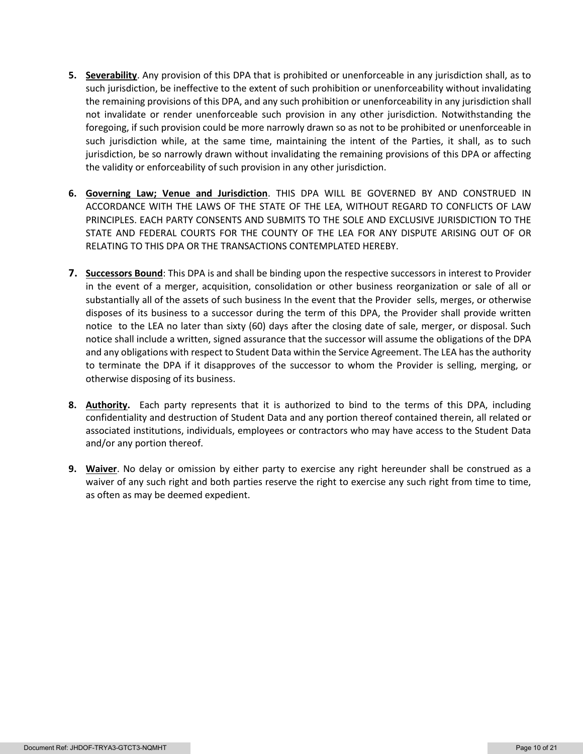- **5. Severability**. Any provision of this DPA that is prohibited or unenforceable in any jurisdiction shall, as to such jurisdiction, be ineffective to the extent of such prohibition or unenforceability without invalidating the remaining provisions of this DPA, and any such prohibition or unenforceability in any jurisdiction shall not invalidate or render unenforceable such provision in any other jurisdiction. Notwithstanding the foregoing, if such provision could be more narrowly drawn so as not to be prohibited or unenforceable in such jurisdiction while, at the same time, maintaining the intent of the Parties, it shall, as to such jurisdiction, be so narrowly drawn without invalidating the remaining provisions of this DPA or affecting the validity or enforceability of such provision in any other jurisdiction.
- **6. Governing Law; Venue and Jurisdiction**. THIS DPA WILL BE GOVERNED BY AND CONSTRUED IN ACCORDANCE WITH THE LAWS OF THE STATE OF THE LEA, WITHOUT REGARD TO CONFLICTS OF LAW PRINCIPLES. EACH PARTY CONSENTS AND SUBMITS TO THE SOLE AND EXCLUSIVE JURISDICTION TO THE STATE AND FEDERAL COURTS FOR THE COUNTY OF THE LEA FOR ANY DISPUTE ARISING OUT OF OR RELATING TO THIS DPA OR THE TRANSACTIONS CONTEMPLATED HEREBY.
- **7. Successors Bound**: This DPA is and shall be binding upon the respective successors in interest to Provider in the event of a merger, acquisition, consolidation or other business reorganization or sale of all or substantially all of the assets of such business In the event that the Provider sells, merges, or otherwise disposes of its business to a successor during the term of this DPA, the Provider shall provide written notice to the LEA no later than sixty (60) days after the closing date of sale, merger, or disposal. Such notice shall include a written, signed assurance that the successor will assume the obligations of the DPA and any obligations with respect to Student Data within the Service Agreement. The LEA has the authority to terminate the DPA if it disapproves of the successor to whom the Provider is selling, merging, or otherwise disposing of its business.
- **8. Authority.** Each party represents that it is authorized to bind to the terms of this DPA, including confidentiality and destruction of Student Data and any portion thereof contained therein, all related or associated institutions, individuals, employees or contractors who may have access to the Student Data and/or any portion thereof.
- **9. Waiver**. No delay or omission by either party to exercise any right hereunder shall be construed as a waiver of any such right and both parties reserve the right to exercise any such right from time to time, as often as may be deemed expedient.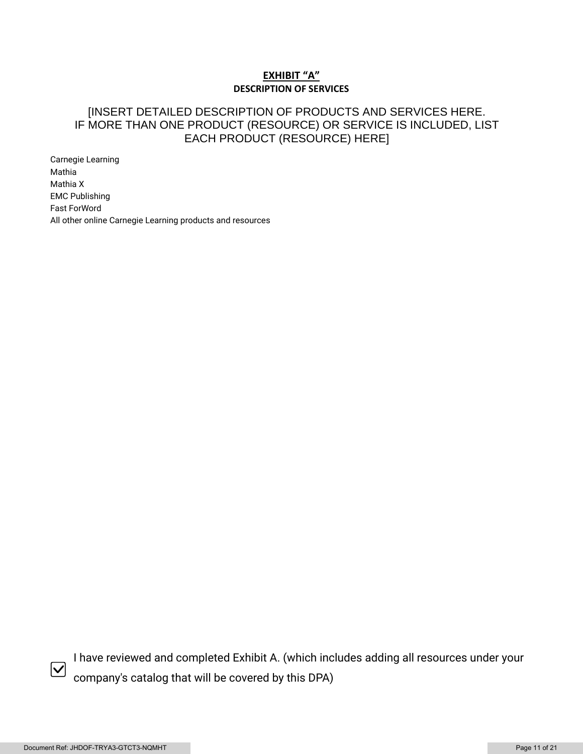### **EXHIBIT "A" DESCRIPTION OF SERVICES**

### [INSERT DETAILED DESCRIPTION OF PRODUCTS AND SERVICES HERE. IF MORE THAN ONE PRODUCT (RESOURCE) OR SERVICE IS INCLUDED, LIST EACH PRODUCT (RESOURCE) HERE]

Carnegie Learning Mathia Mathia X EMC Publishing Fast ForWord All other online Carnegie Learning products and resources



I have reviewed and completed Exhibit A. (which includes adding all resources under your company's catalog that will be covered by this DPA)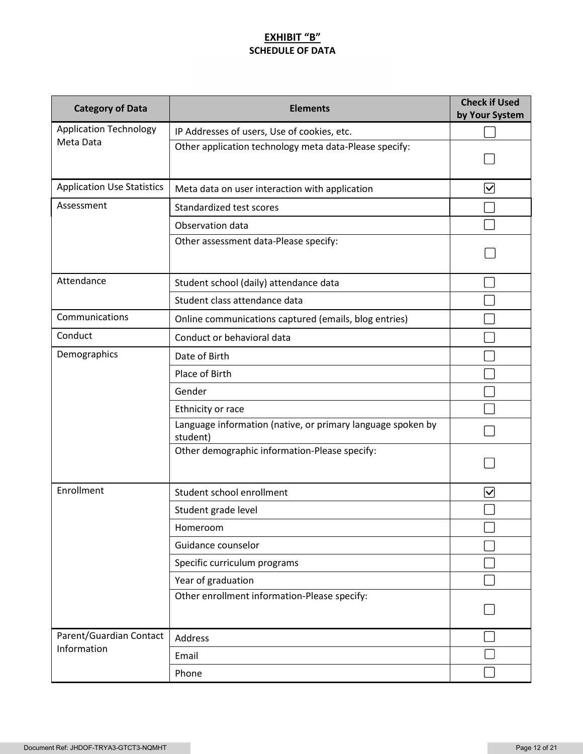### **EXHIBIT "B" SCHEDULE OF DATA**

| <b>Category of Data</b>           | <b>Elements</b>                                                         | <b>Check if Used</b><br>by Your System |
|-----------------------------------|-------------------------------------------------------------------------|----------------------------------------|
| <b>Application Technology</b>     | IP Addresses of users, Use of cookies, etc.                             |                                        |
| Meta Data                         | Other application technology meta data-Please specify:                  |                                        |
| <b>Application Use Statistics</b> | Meta data on user interaction with application                          |                                        |
| Assessment                        | Standardized test scores                                                |                                        |
|                                   | Observation data                                                        |                                        |
|                                   | Other assessment data-Please specify:                                   |                                        |
| Attendance                        | Student school (daily) attendance data                                  |                                        |
|                                   | Student class attendance data                                           |                                        |
| Communications                    | Online communications captured (emails, blog entries)                   |                                        |
| Conduct                           | Conduct or behavioral data                                              |                                        |
| Demographics                      | Date of Birth                                                           |                                        |
|                                   | Place of Birth                                                          |                                        |
|                                   | Gender                                                                  |                                        |
|                                   | Ethnicity or race                                                       |                                        |
|                                   | Language information (native, or primary language spoken by<br>student) |                                        |
|                                   | Other demographic information-Please specify:                           |                                        |
| Enrollment                        | Student school enrollment                                               | ∣✓                                     |
|                                   | Student grade level                                                     |                                        |
|                                   | Homeroom                                                                |                                        |
|                                   | Guidance counselor                                                      |                                        |
|                                   | Specific curriculum programs                                            |                                        |
|                                   | Year of graduation                                                      |                                        |
|                                   | Other enrollment information-Please specify:                            |                                        |
| Parent/Guardian Contact           | Address                                                                 |                                        |
| Information                       | Email                                                                   |                                        |
|                                   | Phone                                                                   |                                        |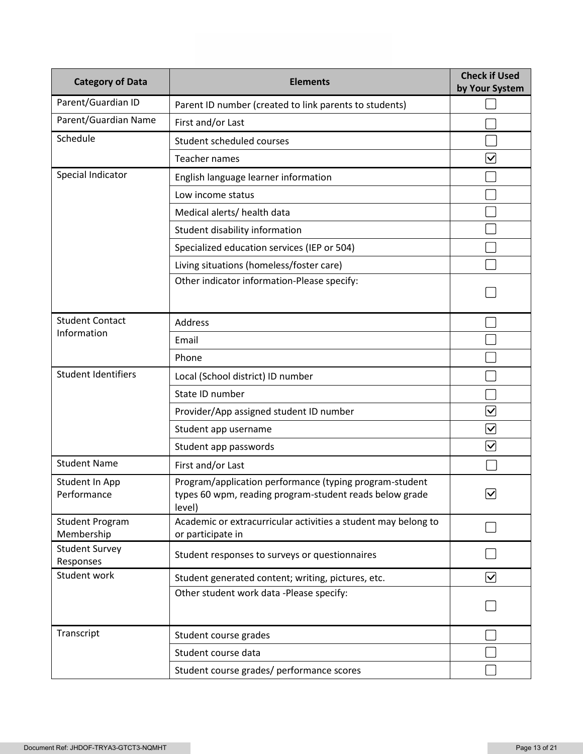| <b>Category of Data</b>              | <b>Elements</b>                                                                                                              | <b>Check if Used</b><br>by Your System |  |
|--------------------------------------|------------------------------------------------------------------------------------------------------------------------------|----------------------------------------|--|
| Parent/Guardian ID                   | Parent ID number (created to link parents to students)                                                                       |                                        |  |
| Parent/Guardian Name                 | First and/or Last                                                                                                            |                                        |  |
| Schedule                             | Student scheduled courses                                                                                                    |                                        |  |
|                                      | Teacher names                                                                                                                | $\overline{\mathsf{v}}$                |  |
| Special Indicator                    | English language learner information                                                                                         |                                        |  |
|                                      | Low income status                                                                                                            |                                        |  |
|                                      | Medical alerts/ health data                                                                                                  |                                        |  |
|                                      | Student disability information                                                                                               |                                        |  |
|                                      | Specialized education services (IEP or 504)                                                                                  |                                        |  |
|                                      | Living situations (homeless/foster care)                                                                                     |                                        |  |
|                                      | Other indicator information-Please specify:                                                                                  |                                        |  |
| <b>Student Contact</b>               | <b>Address</b>                                                                                                               |                                        |  |
| Information                          | Email                                                                                                                        |                                        |  |
|                                      | Phone                                                                                                                        |                                        |  |
| <b>Student Identifiers</b>           | Local (School district) ID number                                                                                            |                                        |  |
|                                      | State ID number                                                                                                              |                                        |  |
|                                      | Provider/App assigned student ID number                                                                                      | $\overline{\mathsf{v}}$                |  |
|                                      | Student app username                                                                                                         | $\bm \nabla$                           |  |
|                                      | Student app passwords                                                                                                        | $\blacktriangledown$                   |  |
| <b>Student Name</b>                  | First and/or Last                                                                                                            |                                        |  |
| Student In App<br>Performance        | Program/application performance (typing program-student<br>types 60 wpm, reading program-student reads below grade<br>level) | 7∕∖<br>ٽا                              |  |
| <b>Student Program</b><br>Membership | Academic or extracurricular activities a student may belong to<br>or participate in                                          |                                        |  |
| <b>Student Survey</b><br>Responses   | Student responses to surveys or questionnaires                                                                               |                                        |  |
| Student work                         | Student generated content; writing, pictures, etc.                                                                           | $\blacktriangledown$                   |  |
|                                      | Other student work data -Please specify:                                                                                     |                                        |  |
| Transcript                           | Student course grades                                                                                                        |                                        |  |
|                                      | Student course data                                                                                                          |                                        |  |
|                                      | Student course grades/ performance scores                                                                                    |                                        |  |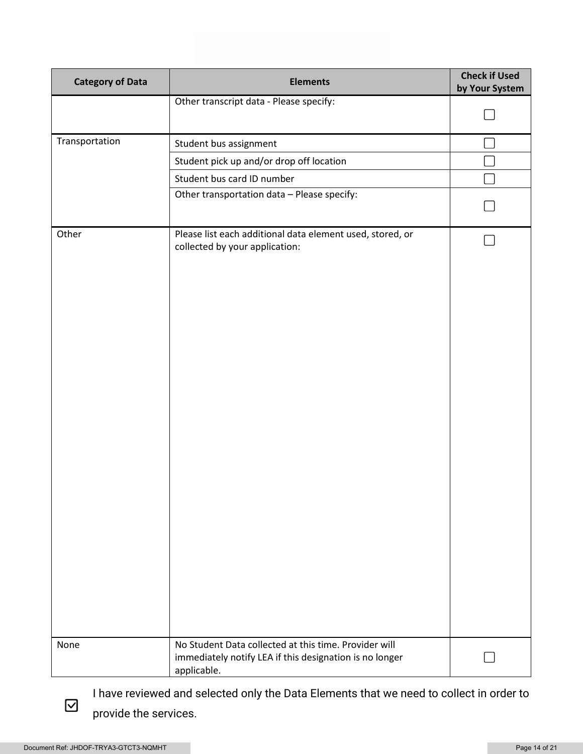| <b>Category of Data</b> | <b>Elements</b>                                                                                                                 | <b>Check if Used</b><br>by Your System |
|-------------------------|---------------------------------------------------------------------------------------------------------------------------------|----------------------------------------|
|                         | Other transcript data - Please specify:                                                                                         |                                        |
|                         |                                                                                                                                 |                                        |
| Transportation          | Student bus assignment                                                                                                          |                                        |
|                         | Student pick up and/or drop off location                                                                                        |                                        |
|                         | Student bus card ID number                                                                                                      |                                        |
|                         | Other transportation data - Please specify:                                                                                     |                                        |
| Other                   | Please list each additional data element used, stored, or<br>collected by your application:                                     |                                        |
| None                    | No Student Data collected at this time. Provider will<br>immediately notify LEA if this designation is no longer<br>applicable. |                                        |

I have reviewed and selected only the Data Elements that we need to collect in order to provide the services.

 $\boxdot$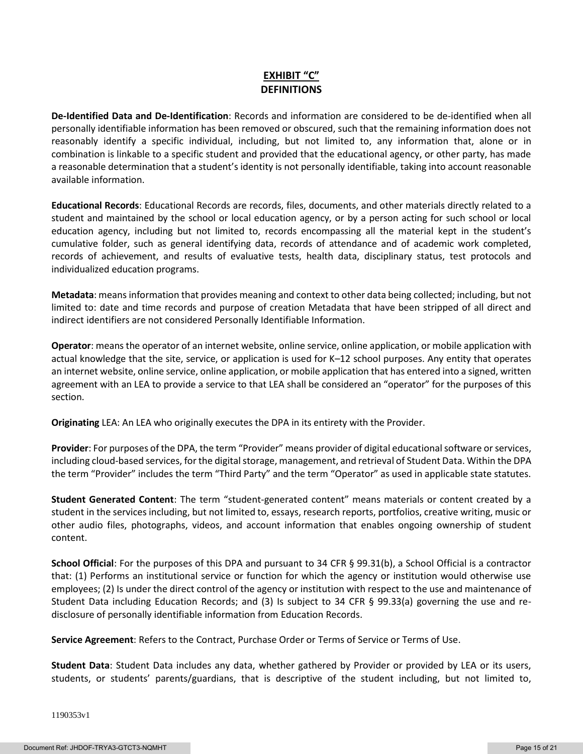### **EXHIBIT "C" DEFINITIONS**

**De-Identified Data and De-Identification**: Records and information are considered to be de-identified when all personally identifiable information has been removed or obscured, such that the remaining information does not reasonably identify a specific individual, including, but not limited to, any information that, alone or in combination is linkable to a specific student and provided that the educational agency, or other party, has made a reasonable determination that a student's identity is not personally identifiable, taking into account reasonable available information.

**Educational Records**: Educational Records are records, files, documents, and other materials directly related to a student and maintained by the school or local education agency, or by a person acting for such school or local education agency, including but not limited to, records encompassing all the material kept in the student's cumulative folder, such as general identifying data, records of attendance and of academic work completed, records of achievement, and results of evaluative tests, health data, disciplinary status, test protocols and individualized education programs.

**Metadata**: means information that provides meaning and context to other data being collected; including, but not limited to: date and time records and purpose of creation Metadata that have been stripped of all direct and indirect identifiers are not considered Personally Identifiable Information.

**Operator**: means the operator of an internet website, online service, online application, or mobile application with actual knowledge that the site, service, or application is used for K–12 school purposes. Any entity that operates an internet website, online service, online application, or mobile application that has entered into a signed, written agreement with an LEA to provide a service to that LEA shall be considered an "operator" for the purposes of this section.

**Originating** LEA: An LEA who originally executes the DPA in its entirety with the Provider.

**Provider**: For purposes of the DPA, the term "Provider" means provider of digital educational software or services, including cloud-based services, for the digital storage, management, and retrieval of Student Data. Within the DPA the term "Provider" includes the term "Third Party" and the term "Operator" as used in applicable state statutes.

**Student Generated Content**: The term "student-generated content" means materials or content created by a student in the services including, but not limited to, essays, research reports, portfolios, creative writing, music or other audio files, photographs, videos, and account information that enables ongoing ownership of student content.

**School Official**: For the purposes of this DPA and pursuant to 34 CFR § 99.31(b), a School Official is a contractor that: (1) Performs an institutional service or function for which the agency or institution would otherwise use employees; (2) Is under the direct control of the agency or institution with respect to the use and maintenance of Student Data including Education Records; and (3) Is subject to 34 CFR § 99.33(a) governing the use and redisclosure of personally identifiable information from Education Records.

**Service Agreement**: Refers to the Contract, Purchase Order or Terms of Service or Terms of Use.

**Student Data**: Student Data includes any data, whether gathered by Provider or provided by LEA or its users, students, or students' parents/guardians, that is descriptive of the student including, but not limited to,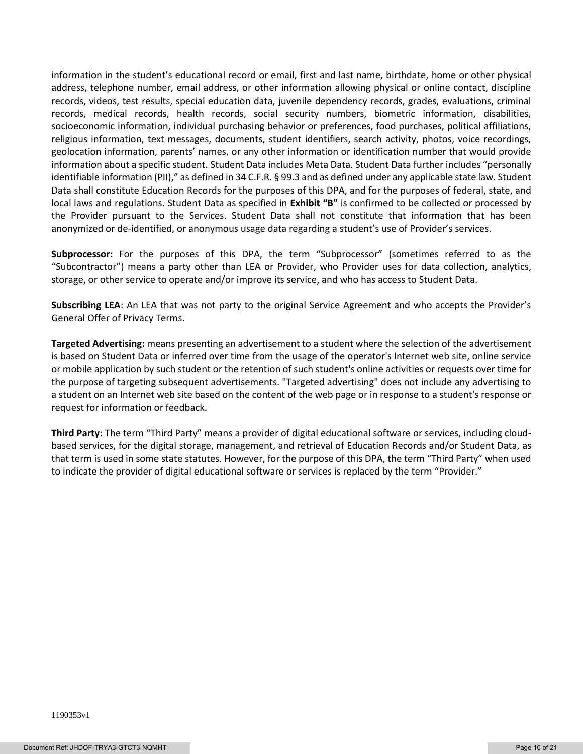information in the student's educational record or email, first and last name, birthdate, home or other physical address, telephone number, email address, or other information allowing physical or online contact, discipline records, videos, test results, special education data, juvenile dependency records, grades, evaluations, criminal records, medical records, health records, social security numbers, biometric information, disabilities, socioeconomic information, individual purchasing behavior or preferences, food purchases, political affiliations, religious information, text messages, documents, student identifiers, search activity, photos, voice recordings, geolocation information, parents' names, or any other information or identification number that would provide information about a specific student. Student Data includes Meta Data. Student Data further includes "personally identifiable information (PII)," as defined in 34 C.F.R. § 99.3 and as defined under any applicable state law. Student Data shall constitute Education Records for the purposes of this DPA, and for the purposes of federal, state, and local laws and regulations. Student Data as specified in **Exhibit "B"** is confirmed to be collected or processed by the Provider pursuant to the Services. Student Data shall not constitute that information that has been anonymized or de-identified, or anonymous usage data regarding a student's use of Provider's services.

**Subprocessor:** For the purposes of this DPA, the term "Subprocessor" (sometimes referred to as the "Subcontractor") means a party other than LEA or Provider, who Provider uses for data collection, analytics, storage, or other service to operate and/or improve its service, and who has access to Student Data.

**Subscribing LEA**: An LEA that was not party to the original Service Agreement and who accepts the Provider's General Offer of Privacy Terms.

**Targeted Advertising:** means presenting an advertisement to a student where the selection of the advertisement is based on Student Data or inferred over time from the usage of the operator's Internet web site, online service or mobile application by such student or the retention of such student's online activities or requests over time for the purpose of targeting subsequent advertisements. "Targeted advertising" does not include any advertising to a student on an Internet web site based on the content of the web page or in response to a student's response or request for information or feedback.

**Third Party**: The term "Third Party" means a provider of digital educational software or services, including cloudbased services, for the digital storage, management, and retrieval of Education Records and/or Student Data, as that term is used in some state statutes. However, for the purpose of this DPA, the term "Third Party" when used to indicate the provider of digital educational software or services is replaced by the term "Provider."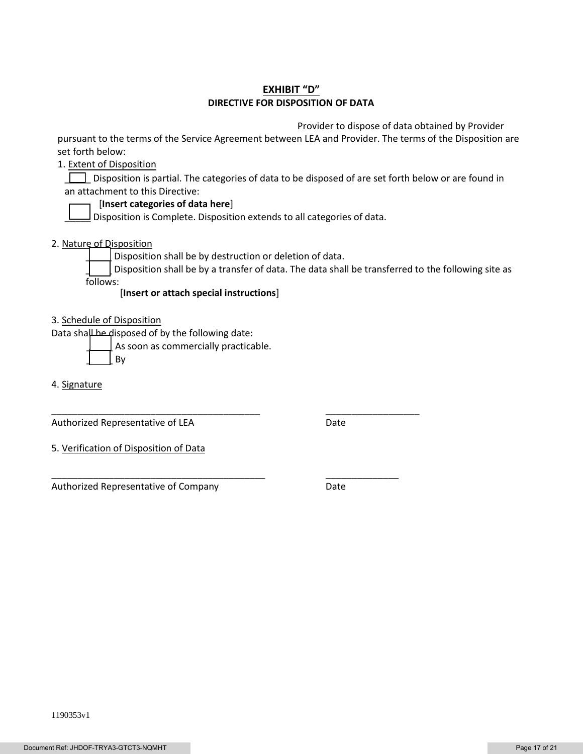### **EXHIBIT "D" DIRECTIVE FOR DISPOSITION OF DATA**

Provider to dispose of data obtained by Provider

pursuant to the terms of the Service Agreement between LEA and Provider. The terms of the Disposition are set forth below:

1. Extent of Disposition

Disposition is partial. The categories of data to be disposed of are set forth below or are found in an attachment to this Directive:

#### [**Insert categories of data here**]

 $\Box$  Disposition is Complete. Disposition extends to all categories of data.

2. Nature of Disposition

Disposition shall be by destruction or deletion of data.

\_\_\_\_\_\_\_\_\_\_\_\_\_\_\_\_\_\_\_\_\_\_\_\_\_\_\_\_\_\_\_\_\_\_\_\_\_\_\_\_ \_\_\_\_\_\_\_\_\_\_\_\_\_\_\_\_\_\_

\_\_\_\_\_\_\_\_\_\_\_\_\_\_\_\_\_\_\_\_\_\_\_\_\_\_\_\_\_\_\_\_\_\_\_\_\_\_\_\_\_ \_\_\_\_\_\_\_\_\_\_\_\_\_\_

Disposition shall be by a transfer of data. The data shall be transferred to the following site as follows:

[**Insert or attach special instructions**]

3. Schedule of Disposition

Data shall be disposed of by the following date:

As soon as commercially practicable.

\_\_\_\_\_ By

4. Signature

Authorized Representative of LEA Date

5. Verification of Disposition of Data

Authorized Representative of Company **Date**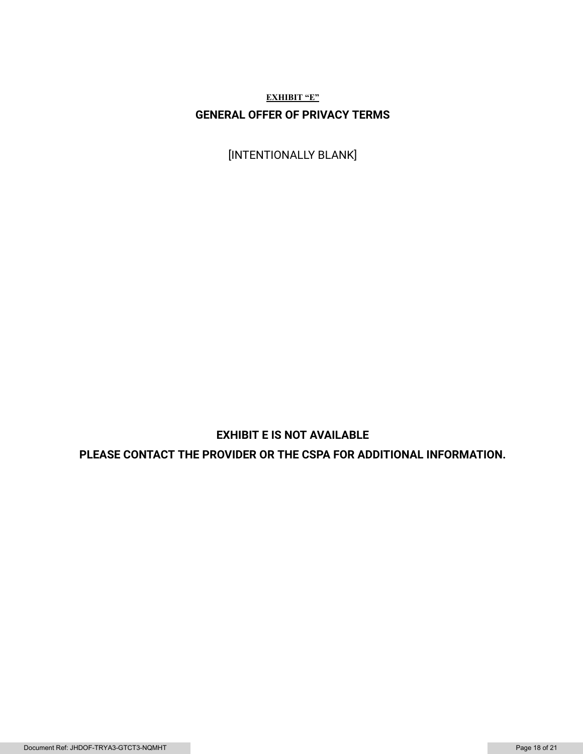**EXHIBIT "E" GENERAL OFFER OF PRIVACY TERMS**

[INTENTIONALLY BLANK]

## **EXHIBIT E IS NOT AVAILABLE**

**PLEASE CONTACT THE PROVIDER OR THE CSPA FOR ADDITIONAL INFORMATION.**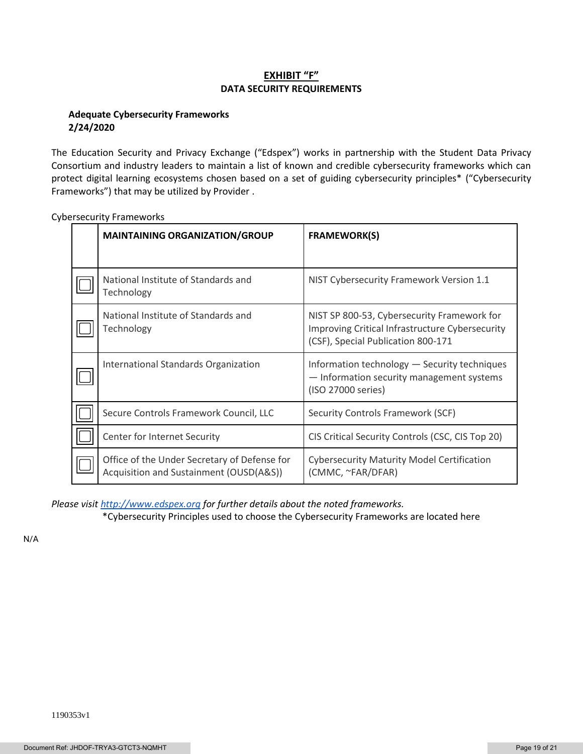### **EXHIBIT "F" DATA SECURITY REQUIREMENTS**

### **Adequate Cybersecurity Frameworks 2/24/2020**

The Education Security and Privacy Exchange ("Edspex") works in partnership with the Student Data Privacy Consortium and industry leaders to maintain a list of known and credible cybersecurity frameworks which can protect digital learning ecosystems chosen based on a set of guiding cybersecurity principles\* ("Cybersecurity Frameworks") that may be utilized by Provider .

| <b>MAINTAINING ORGANIZATION/GROUP</b>                                                   | <b>FRAMEWORK(S)</b>                                                                                                                  |
|-----------------------------------------------------------------------------------------|--------------------------------------------------------------------------------------------------------------------------------------|
|                                                                                         |                                                                                                                                      |
| National Institute of Standards and<br>Technology                                       | NIST Cybersecurity Framework Version 1.1                                                                                             |
| National Institute of Standards and<br>Technology                                       | NIST SP 800-53, Cybersecurity Framework for<br>Improving Critical Infrastructure Cybersecurity<br>(CSF), Special Publication 800-171 |
| International Standards Organization                                                    | Information technology - Security techniques<br>- Information security management systems<br>(ISO 27000 series)                      |
| Secure Controls Framework Council, LLC                                                  | Security Controls Framework (SCF)                                                                                                    |
| Center for Internet Security                                                            | CIS Critical Security Controls (CSC, CIS Top 20)                                                                                     |
| Office of the Under Secretary of Defense for<br>Acquisition and Sustainment (OUSD(A&S)) | <b>Cybersecurity Maturity Model Certification</b><br>(CMMC, ~FAR/DFAR)                                                               |

Cybersecurity Frameworks

*Please visi[t http://www.edspex.org](http://www.edspex.org/) for further details about the noted frameworks.*

\*Cybersecurity Principles used to choose the Cybersecurity Frameworks are located here

N/A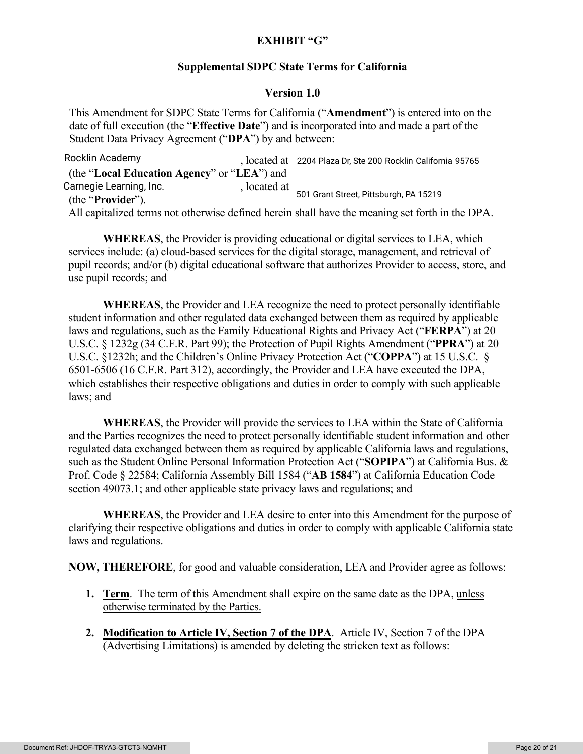### **EXHIBIT "G"**

### **Supplemental SDPC State Terms for California**

### **Version 1.0**

This Amendment for SDPC State Terms for California ("**Amendment**") is entered into on the date of full execution (the "**Effective Date**") and is incorporated into and made a part of the Student Data Privacy Agreement ("**DPA**") by and between:

, located at Rocklin Academy 2204 Plaza Dr, Ste 200 Rocklin California <sup>95765</sup> (the "**Local Education Agency**" or "**LEA**") and , located at (the "**Provide**r"). All capitalized terms not otherwise defined herein shall have the meaning set forth in the DPA. 501 Grant Street, Pittsburgh, PA 15219 Carnegie Learning, Inc.

**WHEREAS**, the Provider is providing educational or digital services to LEA, which services include: (a) cloud-based services for the digital storage, management, and retrieval of pupil records; and/or (b) digital educational software that authorizes Provider to access, store, and use pupil records; and

**WHEREAS**, the Provider and LEA recognize the need to protect personally identifiable student information and other regulated data exchanged between them as required by applicable laws and regulations, such as the Family Educational Rights and Privacy Act ("**FERPA**") at 20 U.S.C. § 1232g (34 C.F.R. Part 99); the Protection of Pupil Rights Amendment ("**PPRA**") at 20 U.S.C. §1232h; and the Children's Online Privacy Protection Act ("**COPPA**") at 15 U.S.C. § 6501-6506 (16 C.F.R. Part 312), accordingly, the Provider and LEA have executed the DPA, which establishes their respective obligations and duties in order to comply with such applicable laws; and

**WHEREAS**, the Provider will provide the services to LEA within the State of California and the Parties recognizes the need to protect personally identifiable student information and other regulated data exchanged between them as required by applicable California laws and regulations, such as the Student Online Personal Information Protection Act ("**SOPIPA**") at California Bus. & Prof. Code § 22584; California Assembly Bill 1584 ("**AB 1584**") at California Education Code section 49073.1; and other applicable state privacy laws and regulations; and

**WHEREAS**, the Provider and LEA desire to enter into this Amendment for the purpose of clarifying their respective obligations and duties in order to comply with applicable California state laws and regulations.

**NOW, THEREFORE**, for good and valuable consideration, LEA and Provider agree as follows:

- **1. Term**. The term of this Amendment shall expire on the same date as the DPA, unless otherwise terminated by the Parties.
- **2. Modification to Article IV, Section 7 of the DPA**. Article IV, Section 7 of the DPA (Advertising Limitations) is amended by deleting the stricken text as follows: